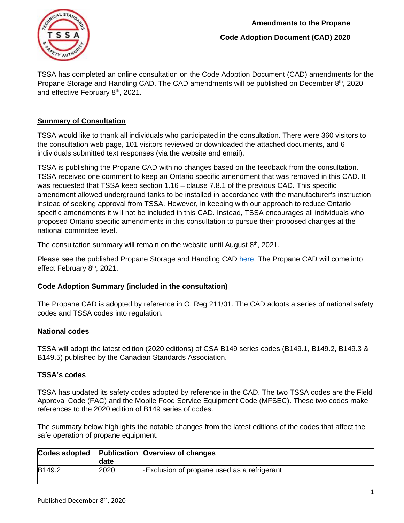

## **Code Adoption Document (CAD) 2020**

TSSA has completed an online consultation on the Code Adoption Document (CAD) amendments for the Propane Storage and Handling CAD. The CAD amendments will be published on December 8<sup>th</sup>, 2020 and effective February 8<sup>th</sup>, 2021.

## **Summary of Consultation**

TSSA would like to thank all individuals who participated in the consultation. There were 360 visitors to the consultation web page, 101 visitors reviewed or downloaded the attached documents, and 6 individuals submitted text responses (via the website and email).

TSSA is publishing the Propane CAD with no changes based on the feedback from the consultation. TSSA received one comment to keep an Ontario specific amendment that was removed in this CAD. It was requested that TSSA keep section 1.16 – clause 7.8.1 of the previous CAD. This specific amendment allowed underground tanks to be installed in accordance with the manufacturer's instruction instead of seeking approval from TSSA. However, in keeping with our approach to reduce Ontario specific amendments it will not be included in this CAD. Instead, TSSA encourages all individuals who proposed Ontario specific amendments in this consultation to pursue their proposed changes at the national committee level.

The consultation summary will remain on the website until August 8<sup>th</sup>, 2021.

Please see the published Propane Storage and Handling CAD [here.](https://www.tssa.org/en/fuels/legislation-and-regulatory-information.aspx) The Propane CAD will come into effect February 8<sup>th</sup>, 2021.

# **Code Adoption Summary (included in the consultation)**

The Propane CAD is adopted by reference in O. Reg 211/01. The CAD adopts a series of national safety codes and TSSA codes into regulation.

#### **National codes**

TSSA will adopt the latest edition (2020 editions) of CSA B149 series codes (B149.1, B149.2, B149.3 & B149.5) published by the Canadian Standards Association.

# **TSSA's codes**

TSSA has updated its safety codes adopted by reference in the CAD. The two TSSA codes are the Field Approval Code (FAC) and the Mobile Food Service Equipment Code (MFSEC). These two codes make references to the 2020 edition of B149 series of codes.

The summary below highlights the notable changes from the latest editions of the codes that affect the safe operation of propane equipment.

|        | <b>date</b> | Codes adopted Publication Overview of changes |
|--------|-------------|-----------------------------------------------|
| B149.2 | 2020        | Exclusion of propane used as a refrigerant    |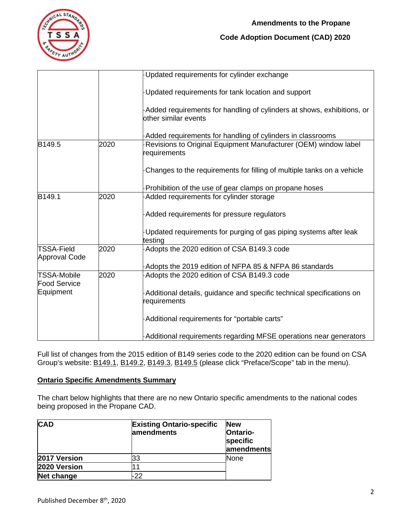

## **Code Adoption Document (CAD) 2020**

|                                           |      | Updated requirements for cylinder exchange                                                     |
|-------------------------------------------|------|------------------------------------------------------------------------------------------------|
|                                           |      | Updated requirements for tank location and support                                             |
|                                           |      | Added requirements for handling of cylinders at shows, exhibitions, or<br>other similar events |
|                                           |      | Added requirements for handling of cylinders in classrooms                                     |
| B149.5                                    | 2020 | Revisions to Original Equipment Manufacturer (OEM) window label<br>requirements                |
|                                           |      | Changes to the requirements for filling of multiple tanks on a vehicle                         |
|                                           |      | Prohibition of the use of gear clamps on propane hoses                                         |
| B149.1                                    | 2020 | Added requirements for cylinder storage                                                        |
|                                           |      | Added requirements for pressure regulators                                                     |
|                                           |      | Updated requirements for purging of gas piping systems after leak<br>testing                   |
| <b>TSSA-Field</b><br><b>Approval Code</b> | 2020 | Adopts the 2020 edition of CSA B149.3 code                                                     |
|                                           |      | Adopts the 2019 edition of NFPA 85 & NFPA 86 standards                                         |
| <b>TSSA-Mobile</b><br><b>Food Service</b> | 2020 | Adopts the 2020 edition of CSA B149.3 code                                                     |
| Equipment                                 |      | Additional details, guidance and specific technical specifications on<br>requirements          |
|                                           |      | Additional requirements for "portable carts"                                                   |
|                                           |      | Additional requirements regarding MFSE operations near generators                              |

Full list of changes from the 2015 edition of B149 series code to the 2020 edition can be found on CSA Group's website: [B149.1,](https://store.csagroup.org/ccrz__ProductDetails?viewState=DetailView&cartId=2bb1737d-254f-4f8b-b5fb-0e6a3af7b78c&reloaded=true&portalUser=&store=&cclcl=en_US&sku=CSA_B149.1%3A20_OT&) [B149.2,](https://store.csagroup.org/ccrz__ProductDetails?viewState=DetailView&cartId=2bb1737d-254f-4f8b-b5fb-0e6a3af7b78c&reloaded=true&portalUser=&store=&cclcl=en_US&sku=CSA_B149.2%3A20_OT&gclid=CjwKCAjwqML6BRAHEiwAdquMndkDk4sZ_-kMPE830O2e4160bsr1YjAmLFSIqq2rHw5UGoi_W06jiRoCWksQAvD_BwE&) [B149.3,](https://store.csagroup.org/ccrz__ProductDetails?viewState=DetailView&cartId=&portalUser=&store=&cclcl=en_US&sku=CSA_B149.3%3A20_OT&gclid=CjwKCAjwnef6BRAgEiwAgv8mQSvc_ZS1ySLsg0jeCHhPzl9fiMGdADbbjRCX8xLi3RSUBqiQ9J4elBoCqf4QAvD_BwE) [B149.5](https://store.csagroup.org/ccrz__ProductDetails?viewState=DetailView&cartId=2bb1737d-254f-4f8b-b5fb-0e6a3af7b78c&reloaded=true&portalUser=&store=&cclcl=en_US&sku=CSA%20B149.5%3A20&) (please click "Preface/Scope" tab in the menu).

#### **Ontario Specific Amendments Summary**

The chart below highlights that there are no new Ontario specific amendments to the national codes being proposed in the Propane CAD.

| <b>CAD</b>   | <b>Existing Ontario-specific</b><br>amendments | <b>New</b><br>Ontario-<br>specific<br>amendments |
|--------------|------------------------------------------------|--------------------------------------------------|
| 2017 Version | 33                                             | <b>None</b>                                      |
| 2020 Version |                                                |                                                  |
| Net change   | 22                                             |                                                  |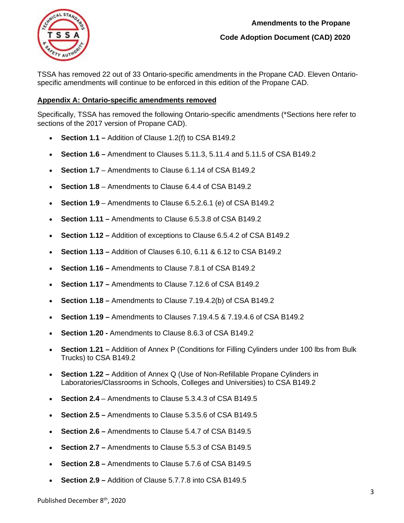

# **Amendments to the Propane**

**Code Adoption Document (CAD) 2020**

TSSA has removed 22 out of 33 Ontario-specific amendments in the Propane CAD. Eleven Ontariospecific amendments will continue to be enforced in this edition of the Propane CAD.

#### **Appendix A: Ontario-specific amendments removed**

Specifically, TSSA has removed the following Ontario-specific amendments (\*Sections here refer to sections of the 2017 version of Propane CAD).

- **Section 1.1 –** Addition of Clause 1.2(f) to CSA B149.2
- **Section 1.6 –** Amendment to Clauses 5.11.3, 5.11.4 and 5.11.5 of CSA B149.2
- **Section 1.7** Amendments to Clause 6.1.14 of CSA B149.2
- **Section 1.8** Amendments to Clause 6.4.4 of CSA B149.2
- **Section 1.9** Amendments to Clause 6.5.2.6.1 (e) of CSA B149.2
- **Section 1.11 –** Amendments to Clause 6.5.3.8 of CSA B149.2
- **Section 1.12 –** Addition of exceptions to Clause 6.5.4.2 of CSA B149.2
- **Section 1.13 –** Addition of Clauses 6.10, 6.11 & 6.12 to CSA B149.2
- **Section 1.16 –** Amendments to Clause 7.8.1 of CSA B149.2
- **Section 1.17 –** Amendments to Clause 7.12.6 of CSA B149.2
- **Section 1.18 –** Amendments to Clause 7.19.4.2(b) of CSA B149.2
- **Section 1.19 –** Amendments to Clauses 7.19.4.5 & 7.19.4.6 of CSA B149.2
- **Section 1.20 -** Amendments to Clause 8.6.3 of CSA B149.2
- **Section 1.21 –** Addition of Annex P (Conditions for Filling Cylinders under 100 lbs from Bulk Trucks) to CSA B149.2
- **Section 1.22 –** Addition of Annex Q (Use of Non-Refillable Propane Cylinders in Laboratories/Classrooms in Schools, Colleges and Universities) to CSA B149.2
- **Section 2.4** Amendments to Clause 5.3.4.3 of CSA B149.5
- **Section 2.5 –** Amendments to Clause 5.3.5.6 of CSA B149.5
- **Section 2.6 –** Amendments to Clause 5.4.7 of CSA B149.5
- **Section 2.7 –** Amendments to Clause 5.5.3 of CSA B149.5
- **Section 2.8 –** Amendments to Clause 5.7.6 of CSA B149.5
- **Section 2.9 –** Addition of Clause 5.7.7.8 into CSA B149.5